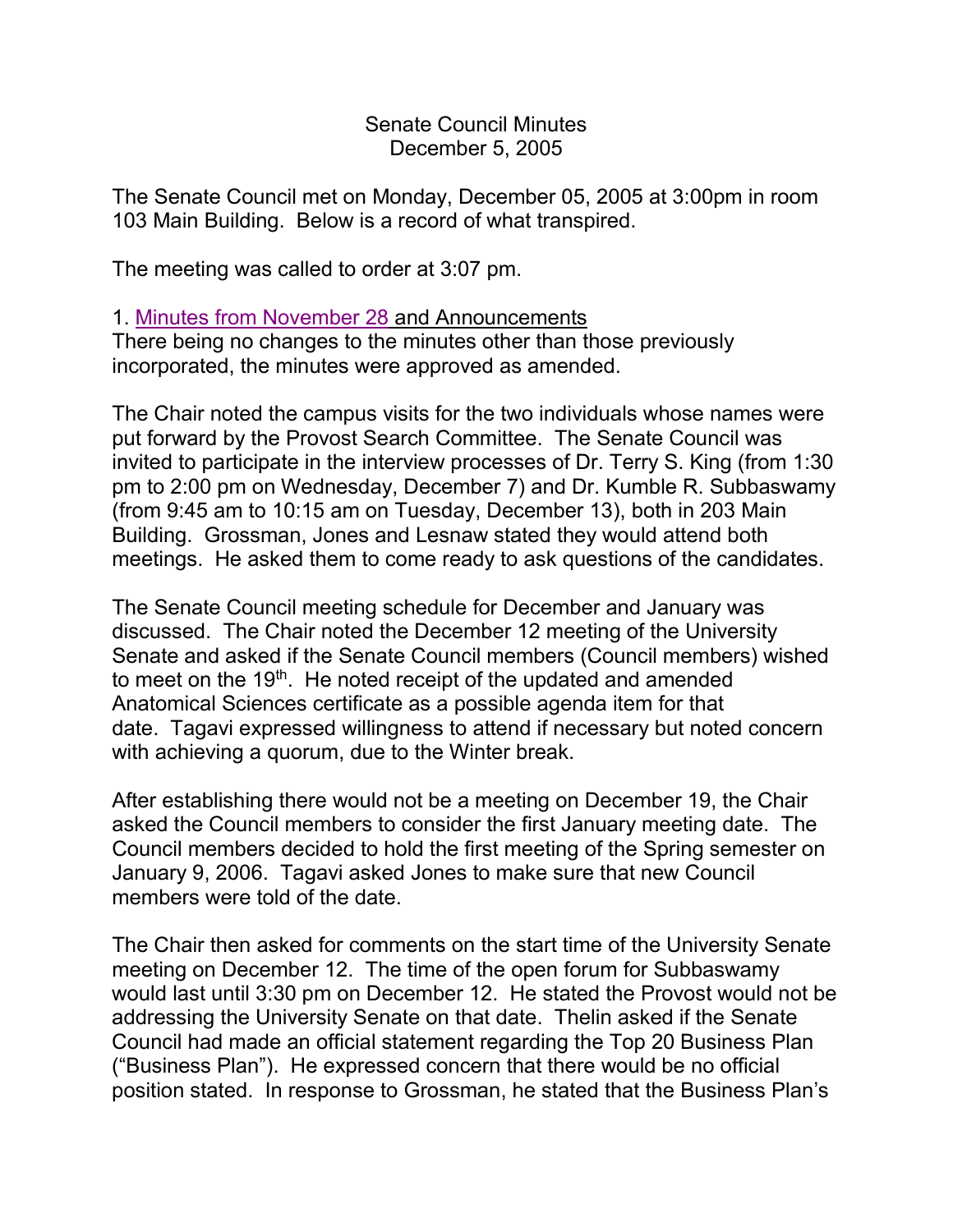Senate Council Minutes December 5, 2005

The Senate Council met on Monday, December 05, 2005 at 3:00pm in room 103 Main Building. Below is a record of what transpired.

The meeting was called to order at 3:07 pm.

## 1. [Minutes from November 28](http://www.uky.edu/USC/New/SCMinutes/2005-2006/SC%20Minutes%20November%2028%202005%20FINAL.htm) and Announcements

There being no changes to the minutes other than those previously incorporated, the minutes were approved as amended.

The Chair noted the campus visits for the two individuals whose names were put forward by the Provost Search Committee. The Senate Council was invited to participate in the interview processes of Dr. Terry S. King (from 1:30 pm to 2:00 pm on Wednesday, December 7) and Dr. Kumble R. Subbaswamy (from 9:45 am to 10:15 am on Tuesday, December 13), both in 203 Main Building. Grossman, Jones and Lesnaw stated they would attend both meetings. He asked them to come ready to ask questions of the candidates.

The Senate Council meeting schedule for December and January was discussed. The Chair noted the December 12 meeting of the University Senate and asked if the Senate Council members (Council members) wished to meet on the  $19<sup>th</sup>$ . He noted receipt of the updated and amended Anatomical Sciences certificate as a possible agenda item for that date. Tagavi expressed willingness to attend if necessary but noted concern with achieving a quorum, due to the Winter break.

After establishing there would not be a meeting on December 19, the Chair asked the Council members to consider the first January meeting date. The Council members decided to hold the first meeting of the Spring semester on January 9, 2006. Tagavi asked Jones to make sure that new Council members were told of the date.

The Chair then asked for comments on the start time of the University Senate meeting on December 12. The time of the open forum for Subbaswamy would last until 3:30 pm on December 12. He stated the Provost would not be addressing the University Senate on that date. Thelin asked if the Senate Council had made an official statement regarding the Top 20 Business Plan ("Business Plan"). He expressed concern that there would be no official position stated. In response to Grossman, he stated that the Business Plan's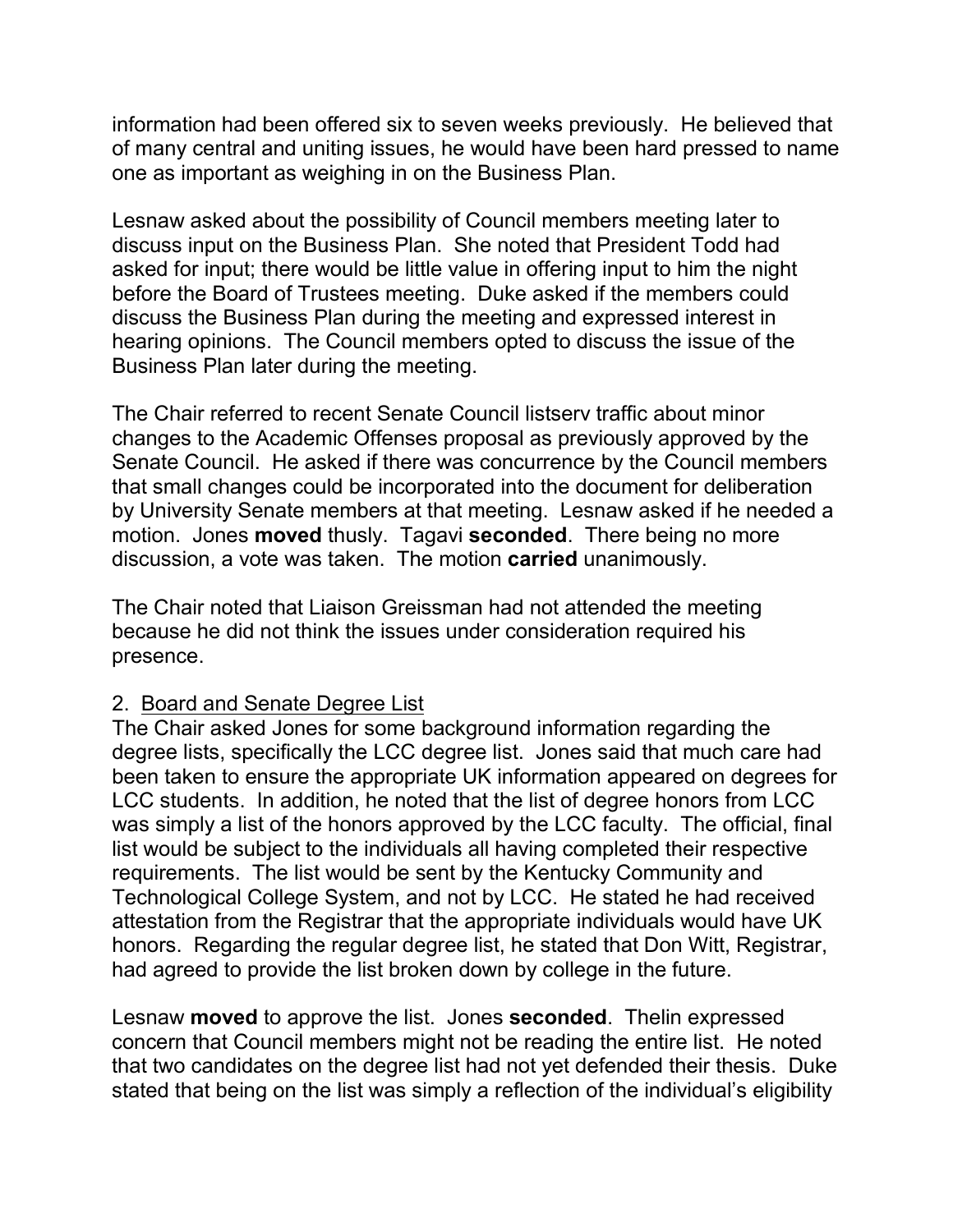information had been offered six to seven weeks previously. He believed that of many central and uniting issues, he would have been hard pressed to name one as important as weighing in on the Business Plan.

Lesnaw asked about the possibility of Council members meeting later to discuss input on the Business Plan. She noted that President Todd had asked for input; there would be little value in offering input to him the night before the Board of Trustees meeting. Duke asked if the members could discuss the Business Plan during the meeting and expressed interest in hearing opinions. The Council members opted to discuss the issue of the Business Plan later during the meeting.

The Chair referred to recent Senate Council listserv traffic about minor changes to the Academic Offenses proposal as previously approved by the Senate Council. He asked if there was concurrence by the Council members that small changes could be incorporated into the document for deliberation by University Senate members at that meeting. Lesnaw asked if he needed a motion. Jones **moved** thusly. Tagavi **seconded**. There being no more discussion, a vote was taken. The motion **carried** unanimously.

The Chair noted that Liaison Greissman had not attended the meeting because he did not think the issues under consideration required his presence.

## 2. Board and Senate Degree List

The Chair asked Jones for some background information regarding the degree lists, specifically the LCC degree list. Jones said that much care had been taken to ensure the appropriate UK information appeared on degrees for LCC students. In addition, he noted that the list of degree honors from LCC was simply a list of the honors approved by the LCC faculty. The official, final list would be subject to the individuals all having completed their respective requirements. The list would be sent by the Kentucky Community and Technological College System, and not by LCC. He stated he had received attestation from the Registrar that the appropriate individuals would have UK honors. Regarding the regular degree list, he stated that Don Witt, Registrar, had agreed to provide the list broken down by college in the future.

Lesnaw **moved** to approve the list. Jones **seconded**. Thelin expressed concern that Council members might not be reading the entire list. He noted that two candidates on the degree list had not yet defended their thesis. Duke stated that being on the list was simply a reflection of the individual's eligibility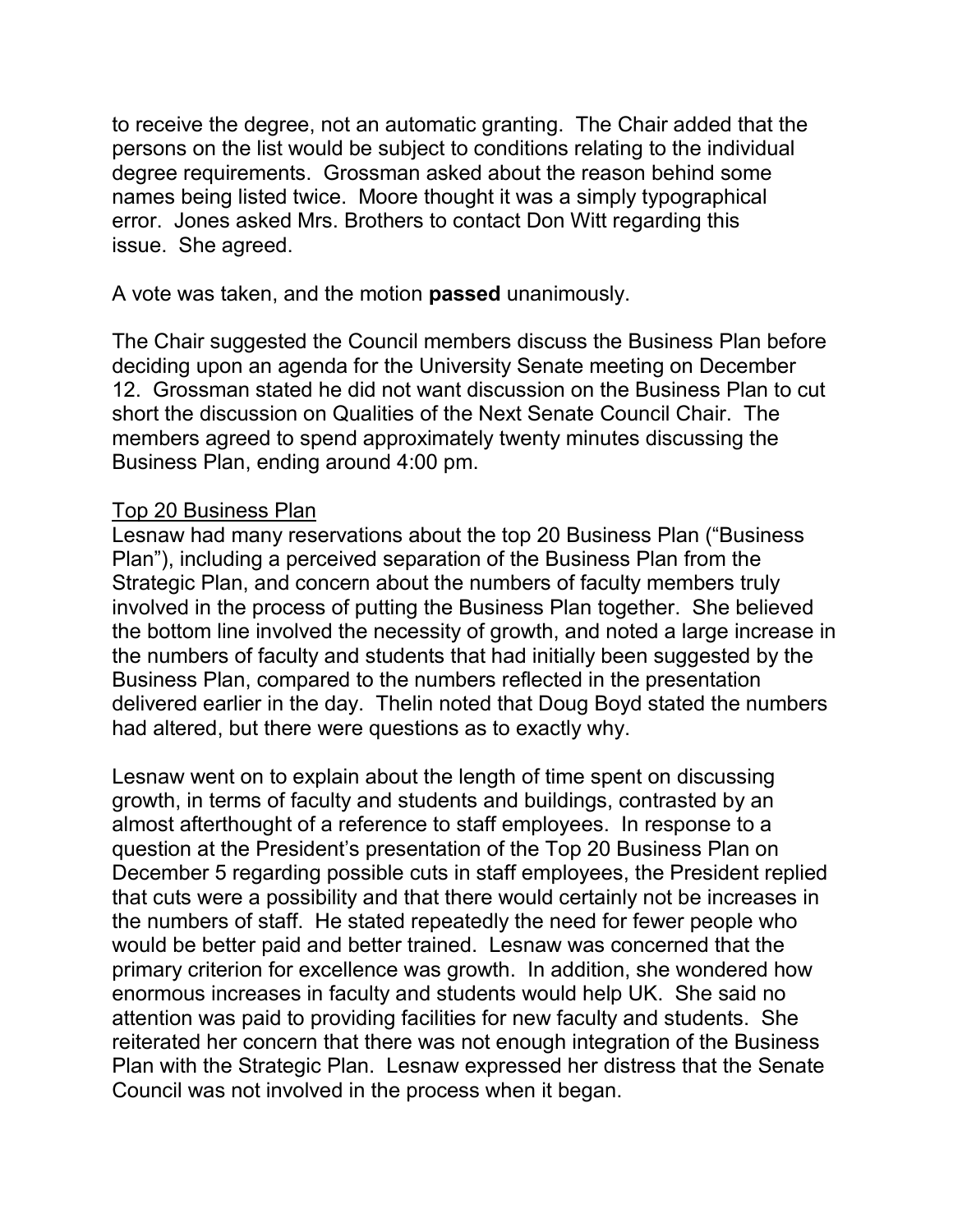to receive the degree, not an automatic granting. The Chair added that the persons on the list would be subject to conditions relating to the individual degree requirements. Grossman asked about the reason behind some names being listed twice. Moore thought it was a simply typographical error. Jones asked Mrs. Brothers to contact Don Witt regarding this issue. She agreed.

A vote was taken, and the motion **passed** unanimously.

The Chair suggested the Council members discuss the Business Plan before deciding upon an agenda for the University Senate meeting on December 12. Grossman stated he did not want discussion on the Business Plan to cut short the discussion on Qualities of the Next Senate Council Chair. The members agreed to spend approximately twenty minutes discussing the Business Plan, ending around 4:00 pm.

# Top 20 Business Plan

Lesnaw had many reservations about the top 20 Business Plan ("Business Plan"), including a perceived separation of the Business Plan from the Strategic Plan, and concern about the numbers of faculty members truly involved in the process of putting the Business Plan together. She believed the bottom line involved the necessity of growth, and noted a large increase in the numbers of faculty and students that had initially been suggested by the Business Plan, compared to the numbers reflected in the presentation delivered earlier in the day. Thelin noted that Doug Boyd stated the numbers had altered, but there were questions as to exactly why.

Lesnaw went on to explain about the length of time spent on discussing growth, in terms of faculty and students and buildings, contrasted by an almost afterthought of a reference to staff employees. In response to a question at the President's presentation of the Top 20 Business Plan on December 5 regarding possible cuts in staff employees, the President replied that cuts were a possibility and that there would certainly not be increases in the numbers of staff. He stated repeatedly the need for fewer people who would be better paid and better trained. Lesnaw was concerned that the primary criterion for excellence was growth. In addition, she wondered how enormous increases in faculty and students would help UK. She said no attention was paid to providing facilities for new faculty and students. She reiterated her concern that there was not enough integration of the Business Plan with the Strategic Plan. Lesnaw expressed her distress that the Senate Council was not involved in the process when it began.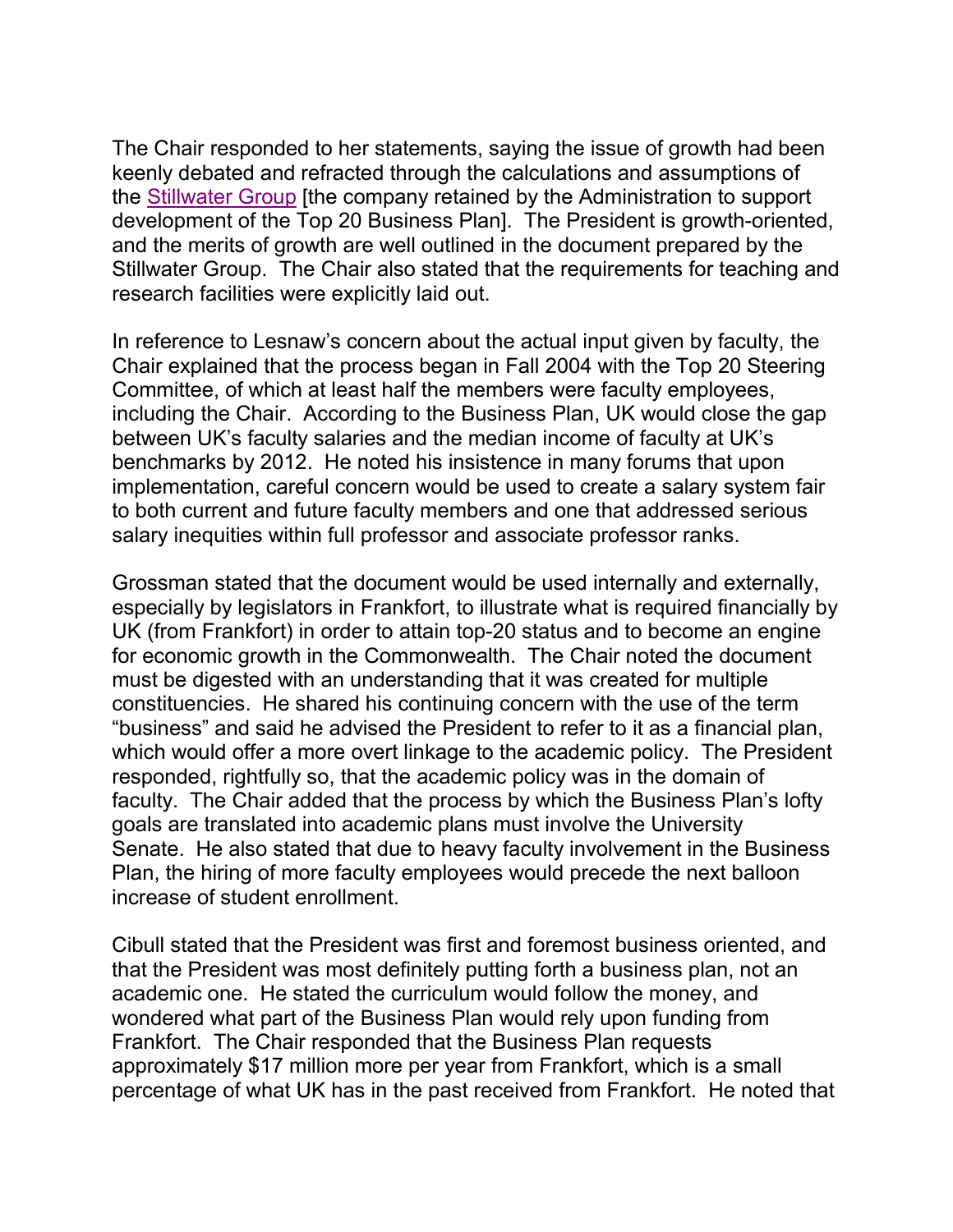The Chair responded to her statements, saying the issue of growth had been keenly debated and refracted through the calculations and assumptions of the [Stillwater Group](http://www.stillwater.com/) [the company retained by the Administration to support development of the Top 20 Business Plan]. The President is growth-oriented, and the merits of growth are well outlined in the document prepared by the Stillwater Group. The Chair also stated that the requirements for teaching and research facilities were explicitly laid out.

In reference to Lesnaw's concern about the actual input given by faculty, the Chair explained that the process began in Fall 2004 with the Top 20 Steering Committee, of which at least half the members were faculty employees, including the Chair. According to the Business Plan, UK would close the gap between UK's faculty salaries and the median income of faculty at UK's benchmarks by 2012. He noted his insistence in many forums that upon implementation, careful concern would be used to create a salary system fair to both current and future faculty members and one that addressed serious salary inequities within full professor and associate professor ranks.

Grossman stated that the document would be used internally and externally, especially by legislators in Frankfort, to illustrate what is required financially by UK (from Frankfort) in order to attain top-20 status and to become an engine for economic growth in the Commonwealth. The Chair noted the document must be digested with an understanding that it was created for multiple constituencies. He shared his continuing concern with the use of the term "business" and said he advised the President to refer to it as a financial plan, which would offer a more overt linkage to the academic policy. The President responded, rightfully so, that the academic policy was in the domain of faculty. The Chair added that the process by which the Business Plan's lofty goals are translated into academic plans must involve the University Senate. He also stated that due to heavy faculty involvement in the Business Plan, the hiring of more faculty employees would precede the next balloon increase of student enrollment.

Cibull stated that the President was first and foremost business oriented, and that the President was most definitely putting forth a business plan, not an academic one. He stated the curriculum would follow the money, and wondered what part of the Business Plan would rely upon funding from Frankfort. The Chair responded that the Business Plan requests approximately \$17 million more per year from Frankfort, which is a small percentage of what UK has in the past received from Frankfort. He noted that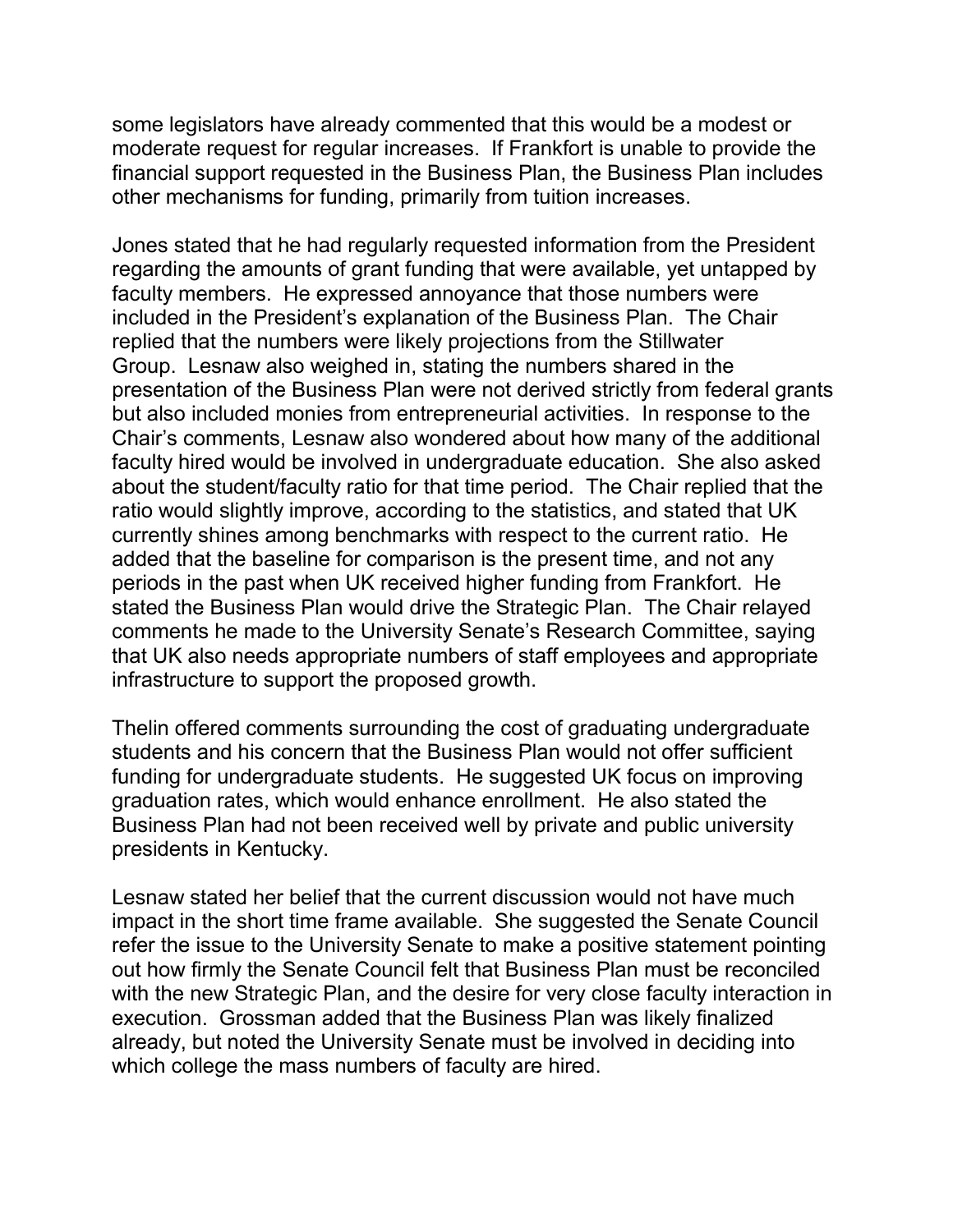some legislators have already commented that this would be a modest or moderate request for regular increases. If Frankfort is unable to provide the financial support requested in the Business Plan, the Business Plan includes other mechanisms for funding, primarily from tuition increases.

Jones stated that he had regularly requested information from the President regarding the amounts of grant funding that were available, yet untapped by faculty members. He expressed annoyance that those numbers were included in the President's explanation of the Business Plan. The Chair replied that the numbers were likely projections from the Stillwater Group. Lesnaw also weighed in, stating the numbers shared in the presentation of the Business Plan were not derived strictly from federal grants but also included monies from entrepreneurial activities. In response to the Chair's comments, Lesnaw also wondered about how many of the additional faculty hired would be involved in undergraduate education. She also asked about the student/faculty ratio for that time period. The Chair replied that the ratio would slightly improve, according to the statistics, and stated that UK currently shines among benchmarks with respect to the current ratio. He added that the baseline for comparison is the present time, and not any periods in the past when UK received higher funding from Frankfort. He stated the Business Plan would drive the Strategic Plan. The Chair relayed comments he made to the University Senate's Research Committee, saying that UK also needs appropriate numbers of staff employees and appropriate infrastructure to support the proposed growth.

Thelin offered comments surrounding the cost of graduating undergraduate students and his concern that the Business Plan would not offer sufficient funding for undergraduate students. He suggested UK focus on improving graduation rates, which would enhance enrollment. He also stated the Business Plan had not been received well by private and public university presidents in Kentucky.

Lesnaw stated her belief that the current discussion would not have much impact in the short time frame available. She suggested the Senate Council refer the issue to the University Senate to make a positive statement pointing out how firmly the Senate Council felt that Business Plan must be reconciled with the new Strategic Plan, and the desire for very close faculty interaction in execution. Grossman added that the Business Plan was likely finalized already, but noted the University Senate must be involved in deciding into which college the mass numbers of faculty are hired.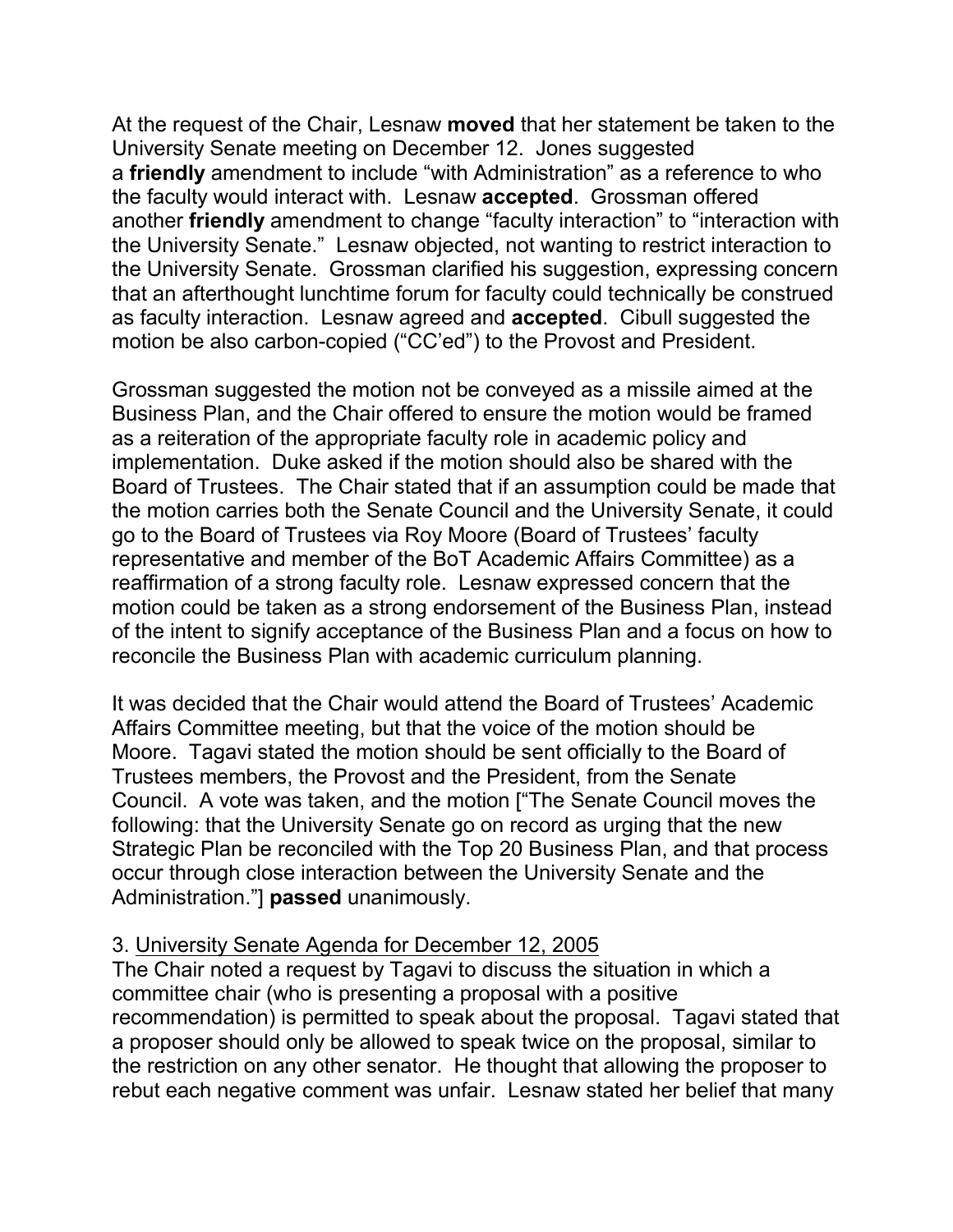At the request of the Chair, Lesnaw **moved** that her statement be taken to the University Senate meeting on December 12. Jones suggested a **friendly** amendment to include "with Administration" as a reference to who the faculty would interact with. Lesnaw **accepted**. Grossman offered another **friendly** amendment to change "faculty interaction" to "interaction with the University Senate." Lesnaw objected, not wanting to restrict interaction to the University Senate. Grossman clarified his suggestion, expressing concern that an afterthought lunchtime forum for faculty could technically be construed as faculty interaction. Lesnaw agreed and **accepted**. Cibull suggested the motion be also carbon-copied ("CC'ed") to the Provost and President.

Grossman suggested the motion not be conveyed as a missile aimed at the Business Plan, and the Chair offered to ensure the motion would be framed as a reiteration of the appropriate faculty role in academic policy and implementation. Duke asked if the motion should also be shared with the Board of Trustees. The Chair stated that if an assumption could be made that the motion carries both the Senate Council and the University Senate, it could go to the Board of Trustees via Roy Moore (Board of Trustees' faculty representative and member of the BoT Academic Affairs Committee) as a reaffirmation of a strong faculty role. Lesnaw expressed concern that the motion could be taken as a strong endorsement of the Business Plan, instead of the intent to signify acceptance of the Business Plan and a focus on how to reconcile the Business Plan with academic curriculum planning.

It was decided that the Chair would attend the Board of Trustees' Academic Affairs Committee meeting, but that the voice of the motion should be Moore. Tagavi stated the motion should be sent officially to the Board of Trustees members, the Provost and the President, from the Senate Council. A vote was taken, and the motion ["The Senate Council moves the following: that the University Senate go on record as urging that the new Strategic Plan be reconciled with the Top 20 Business Plan, and that process occur through close interaction between the University Senate and the Administration."] **passed** unanimously.

## 3. University Senate Agenda for December 12, 2005

The Chair noted a request by Tagavi to discuss the situation in which a committee chair (who is presenting a proposal with a positive recommendation) is permitted to speak about the proposal. Tagavi stated that a proposer should only be allowed to speak twice on the proposal, similar to the restriction on any other senator. He thought that allowing the proposer to rebut each negative comment was unfair. Lesnaw stated her belief that many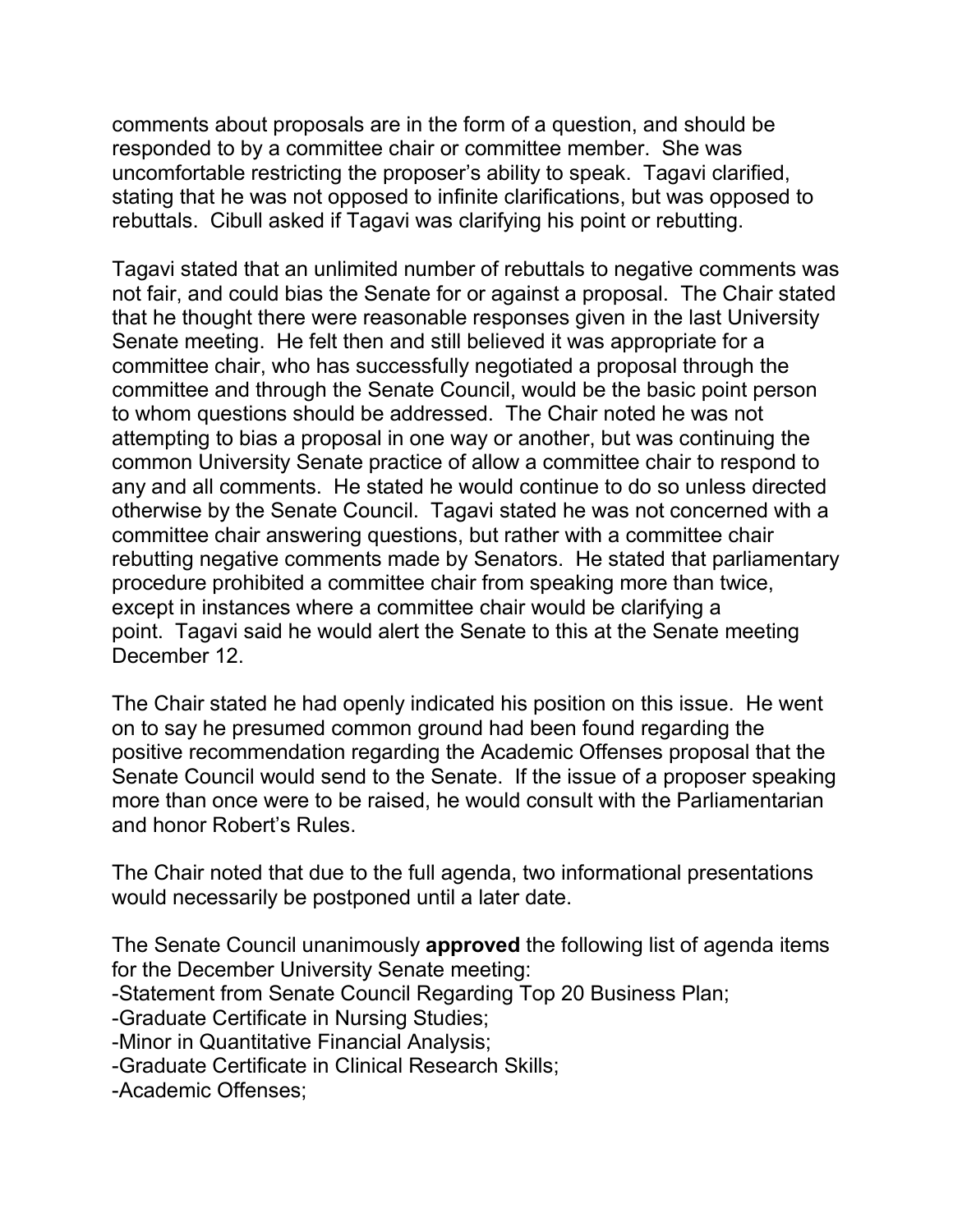comments about proposals are in the form of a question, and should be responded to by a committee chair or committee member. She was uncomfortable restricting the proposer's ability to speak. Tagavi clarified, stating that he was not opposed to infinite clarifications, but was opposed to rebuttals. Cibull asked if Tagavi was clarifying his point or rebutting.

Tagavi stated that an unlimited number of rebuttals to negative comments was not fair, and could bias the Senate for or against a proposal. The Chair stated that he thought there were reasonable responses given in the last University Senate meeting. He felt then and still believed it was appropriate for a committee chair, who has successfully negotiated a proposal through the committee and through the Senate Council, would be the basic point person to whom questions should be addressed. The Chair noted he was not attempting to bias a proposal in one way or another, but was continuing the common University Senate practice of allow a committee chair to respond to any and all comments. He stated he would continue to do so unless directed otherwise by the Senate Council. Tagavi stated he was not concerned with a committee chair answering questions, but rather with a committee chair rebutting negative comments made by Senators. He stated that parliamentary procedure prohibited a committee chair from speaking more than twice, except in instances where a committee chair would be clarifying a point. Tagavi said he would alert the Senate to this at the Senate meeting December 12.

The Chair stated he had openly indicated his position on this issue. He went on to say he presumed common ground had been found regarding the positive recommendation regarding the Academic Offenses proposal that the Senate Council would send to the Senate. If the issue of a proposer speaking more than once were to be raised, he would consult with the Parliamentarian and honor Robert's Rules.

The Chair noted that due to the full agenda, two informational presentations would necessarily be postponed until a later date.

The Senate Council unanimously **approved** the following list of agenda items for the December University Senate meeting:

-Statement from Senate Council Regarding Top 20 Business Plan;

-Graduate Certificate in Nursing Studies;

-Minor in Quantitative Financial Analysis;

- -Graduate Certificate in Clinical Research Skills;
- -Academic Offenses;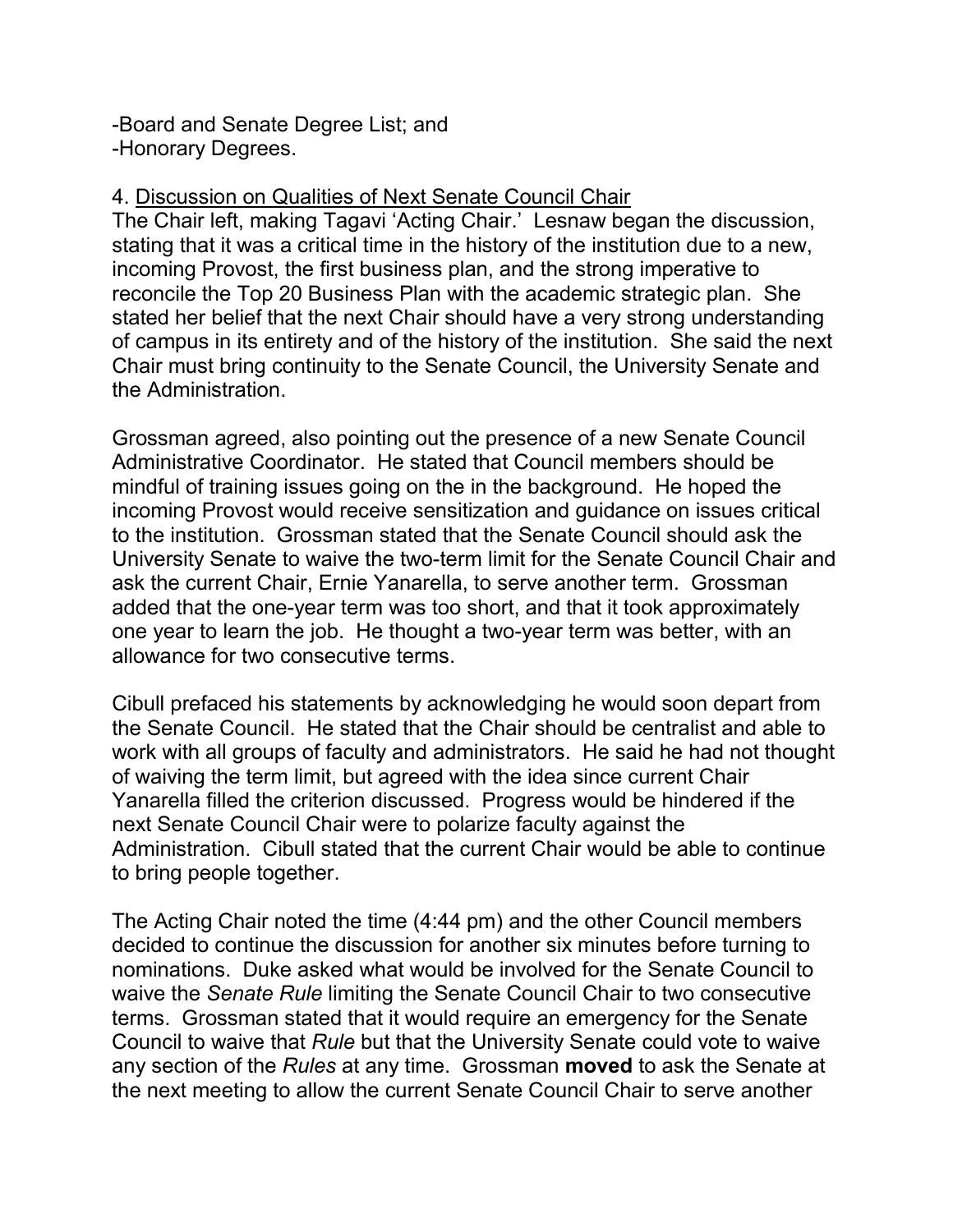-Board and Senate Degree List; and -Honorary Degrees.

## 4. Discussion on Qualities of Next Senate Council Chair

The Chair left, making Tagavi 'Acting Chair.' Lesnaw began the discussion, stating that it was a critical time in the history of the institution due to a new, incoming Provost, the first business plan, and the strong imperative to reconcile the Top 20 Business Plan with the academic strategic plan. She stated her belief that the next Chair should have a very strong understanding of campus in its entirety and of the history of the institution. She said the next Chair must bring continuity to the Senate Council, the University Senate and the Administration.

Grossman agreed, also pointing out the presence of a new Senate Council Administrative Coordinator. He stated that Council members should be mindful of training issues going on the in the background. He hoped the incoming Provost would receive sensitization and guidance on issues critical to the institution. Grossman stated that the Senate Council should ask the University Senate to waive the two-term limit for the Senate Council Chair and ask the current Chair, Ernie Yanarella, to serve another term. Grossman added that the one-year term was too short, and that it took approximately one year to learn the job. He thought a two-year term was better, with an allowance for two consecutive terms.

Cibull prefaced his statements by acknowledging he would soon depart from the Senate Council. He stated that the Chair should be centralist and able to work with all groups of faculty and administrators. He said he had not thought of waiving the term limit, but agreed with the idea since current Chair Yanarella filled the criterion discussed. Progress would be hindered if the next Senate Council Chair were to polarize faculty against the Administration. Cibull stated that the current Chair would be able to continue to bring people together.

The Acting Chair noted the time (4:44 pm) and the other Council members decided to continue the discussion for another six minutes before turning to nominations. Duke asked what would be involved for the Senate Council to waive the *Senate Rule* limiting the Senate Council Chair to two consecutive terms. Grossman stated that it would require an emergency for the Senate Council to waive that *Rule* but that the University Senate could vote to waive any section of the *Rules* at any time. Grossman **moved** to ask the Senate at the next meeting to allow the current Senate Council Chair to serve another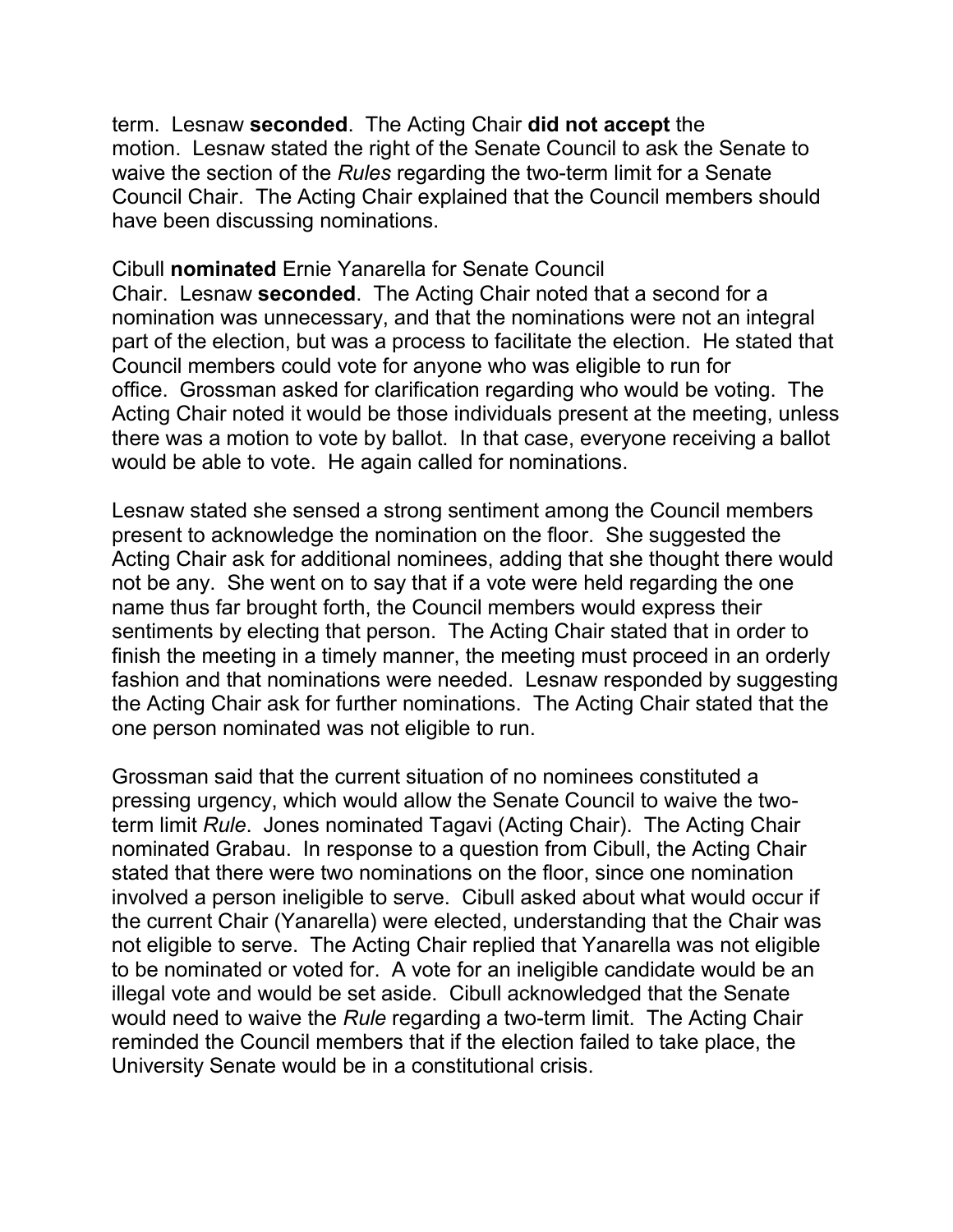term. Lesnaw **seconded**. The Acting Chair **did not accept** the motion. Lesnaw stated the right of the Senate Council to ask the Senate to waive the section of the *Rules* regarding the two-term limit for a Senate Council Chair. The Acting Chair explained that the Council members should have been discussing nominations.

Cibull **nominated** Ernie Yanarella for Senate Council Chair. Lesnaw **seconded**. The Acting Chair noted that a second for a nomination was unnecessary, and that the nominations were not an integral part of the election, but was a process to facilitate the election. He stated that Council members could vote for anyone who was eligible to run for office. Grossman asked for clarification regarding who would be voting. The Acting Chair noted it would be those individuals present at the meeting, unless there was a motion to vote by ballot. In that case, everyone receiving a ballot would be able to vote. He again called for nominations.

Lesnaw stated she sensed a strong sentiment among the Council members present to acknowledge the nomination on the floor. She suggested the Acting Chair ask for additional nominees, adding that she thought there would not be any. She went on to say that if a vote were held regarding the one name thus far brought forth, the Council members would express their sentiments by electing that person. The Acting Chair stated that in order to finish the meeting in a timely manner, the meeting must proceed in an orderly fashion and that nominations were needed. Lesnaw responded by suggesting the Acting Chair ask for further nominations. The Acting Chair stated that the one person nominated was not eligible to run.

Grossman said that the current situation of no nominees constituted a pressing urgency, which would allow the Senate Council to waive the twoterm limit *Rule*. Jones nominated Tagavi (Acting Chair). The Acting Chair nominated Grabau. In response to a question from Cibull, the Acting Chair stated that there were two nominations on the floor, since one nomination involved a person ineligible to serve. Cibull asked about what would occur if the current Chair (Yanarella) were elected, understanding that the Chair was not eligible to serve. The Acting Chair replied that Yanarella was not eligible to be nominated or voted for. A vote for an ineligible candidate would be an illegal vote and would be set aside. Cibull acknowledged that the Senate would need to waive the *Rule* regarding a two-term limit. The Acting Chair reminded the Council members that if the election failed to take place, the University Senate would be in a constitutional crisis.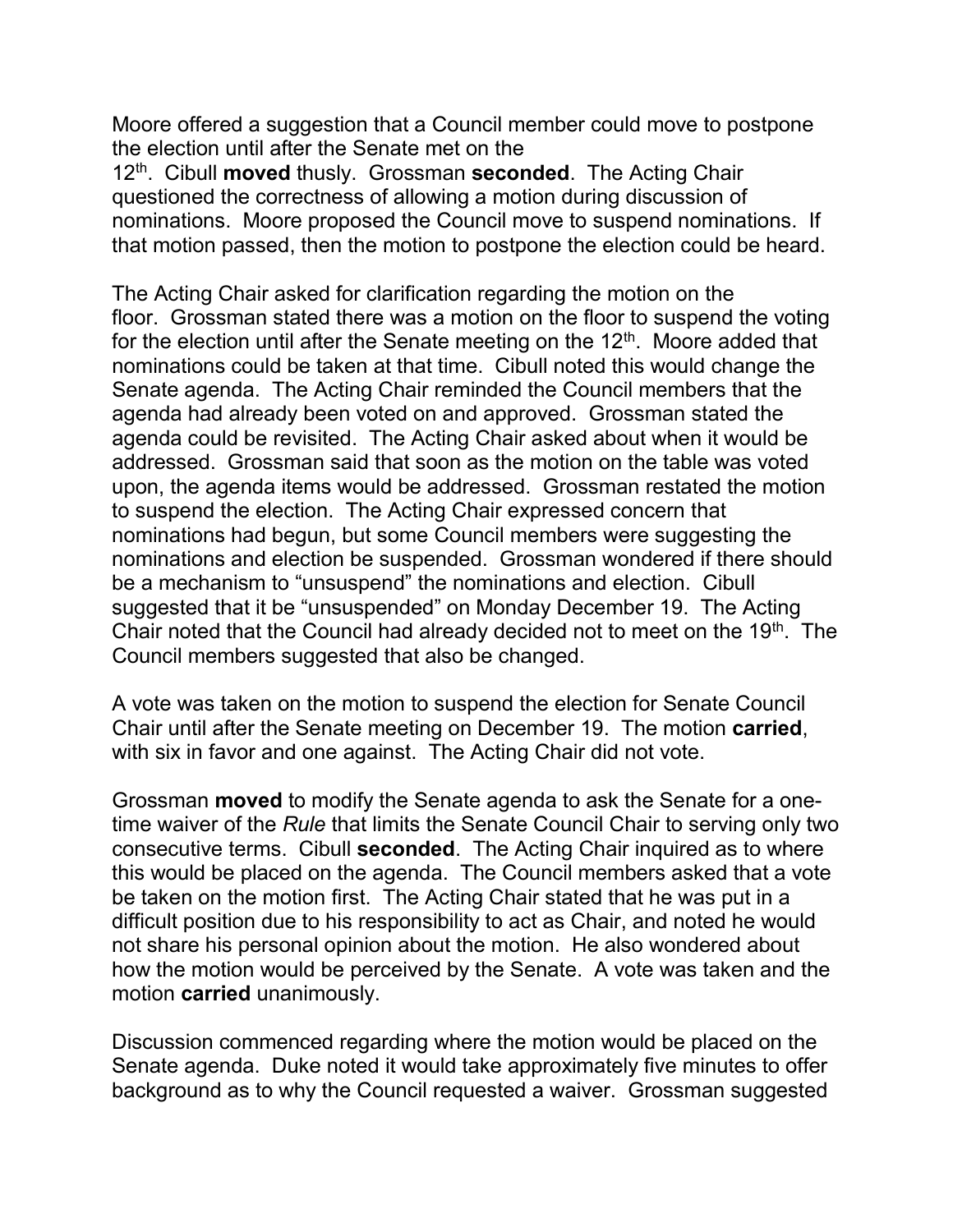Moore offered a suggestion that a Council member could move to postpone the election until after the Senate met on the

12th. Cibull **moved** thusly. Grossman **seconded**. The Acting Chair questioned the correctness of allowing a motion during discussion of nominations. Moore proposed the Council move to suspend nominations. If that motion passed, then the motion to postpone the election could be heard.

The Acting Chair asked for clarification regarding the motion on the floor. Grossman stated there was a motion on the floor to suspend the voting for the election until after the Senate meeting on the  $12<sup>th</sup>$ . Moore added that nominations could be taken at that time. Cibull noted this would change the Senate agenda. The Acting Chair reminded the Council members that the agenda had already been voted on and approved. Grossman stated the agenda could be revisited. The Acting Chair asked about when it would be addressed. Grossman said that soon as the motion on the table was voted upon, the agenda items would be addressed. Grossman restated the motion to suspend the election. The Acting Chair expressed concern that nominations had begun, but some Council members were suggesting the nominations and election be suspended. Grossman wondered if there should be a mechanism to "unsuspend" the nominations and election. Cibull suggested that it be "unsuspended" on Monday December 19. The Acting Chair noted that the Council had already decided not to meet on the 19<sup>th</sup>. The Council members suggested that also be changed.

A vote was taken on the motion to suspend the election for Senate Council Chair until after the Senate meeting on December 19. The motion **carried**, with six in favor and one against. The Acting Chair did not vote.

Grossman **moved** to modify the Senate agenda to ask the Senate for a onetime waiver of the *Rule* that limits the Senate Council Chair to serving only two consecutive terms. Cibull **seconded**. The Acting Chair inquired as to where this would be placed on the agenda. The Council members asked that a vote be taken on the motion first. The Acting Chair stated that he was put in a difficult position due to his responsibility to act as Chair, and noted he would not share his personal opinion about the motion. He also wondered about how the motion would be perceived by the Senate. A vote was taken and the motion **carried** unanimously.

Discussion commenced regarding where the motion would be placed on the Senate agenda. Duke noted it would take approximately five minutes to offer background as to why the Council requested a waiver. Grossman suggested